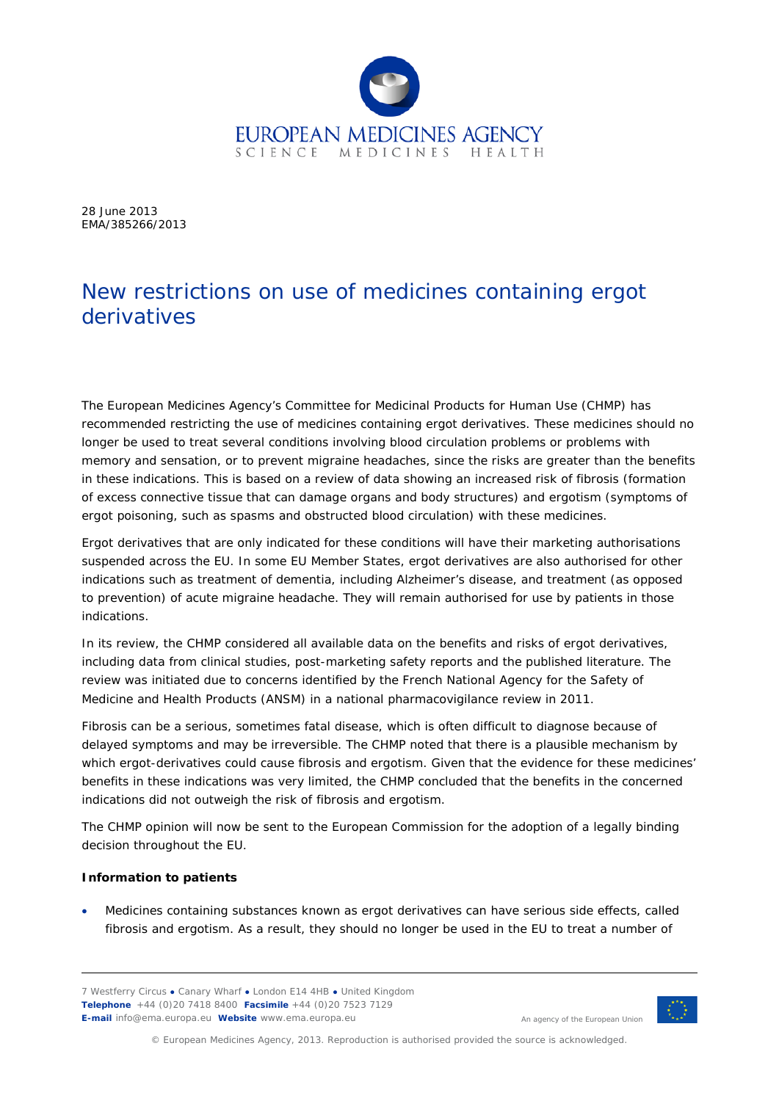

28 June 2013 EMA/385266/2013

# New restrictions on use of medicines containing ergot derivatives

The European Medicines Agency's Committee for Medicinal Products for Human Use (CHMP) has recommended restricting the use of medicines containing ergot derivatives. These medicines should no longer be used to treat several conditions involving blood circulation problems or problems with memory and sensation, or to prevent migraine headaches, since the risks are greater than the benefits in these indications. This is based on a review of data showing an increased risk of fibrosis (formation of excess connective tissue that can damage organs and body structures) and ergotism (symptoms of ergot poisoning, such as spasms and obstructed blood circulation) with these medicines.

Ergot derivatives that are only indicated for these conditions will have their marketing authorisations suspended across the EU. In some EU Member States, ergot derivatives are also authorised for other indications such as treatment of dementia, including Alzheimer's disease, and treatment (as opposed to prevention) of acute migraine headache. They will remain authorised for use by patients in those indications.

In its review, the CHMP considered all available data on the benefits and risks of ergot derivatives, including data from clinical studies, post-marketing safety reports and the published literature. The review was initiated due to concerns identified by the French National Agency for the Safety of Medicine and Health Products (ANSM) in a national pharmacovigilance review in 2011.

Fibrosis can be a serious, sometimes fatal disease, which is often difficult to diagnose because of delayed symptoms and may be irreversible. The CHMP noted that there is a plausible mechanism by which ergot-derivatives could cause fibrosis and ergotism. Given that the evidence for these medicines' benefits in these indications was very limited, the CHMP concluded that the benefits in the concerned indications did not outweigh the risk of fibrosis and ergotism.

The CHMP opinion will now be sent to the European Commission for the adoption of a legally binding decision throughout the EU.

## **Information to patients**

• Medicines containing substances known as ergot derivatives can have serious side effects, called fibrosis and ergotism. As a result, they should no longer be used in the EU to treat a number of

7 Westferry Circus **●** Canary Wharf **●** London E14 4HB **●** United Kingdom **Telephone** +44 (0)20 7418 8400 **Facsimile** +44 (0)20 7523 7129 **E-mail** info@ema.europa.eu **Website** www.ema.europa.eu



An agency of the European Union

© European Medicines Agency, 2013. Reproduction is authorised provided the source is acknowledged.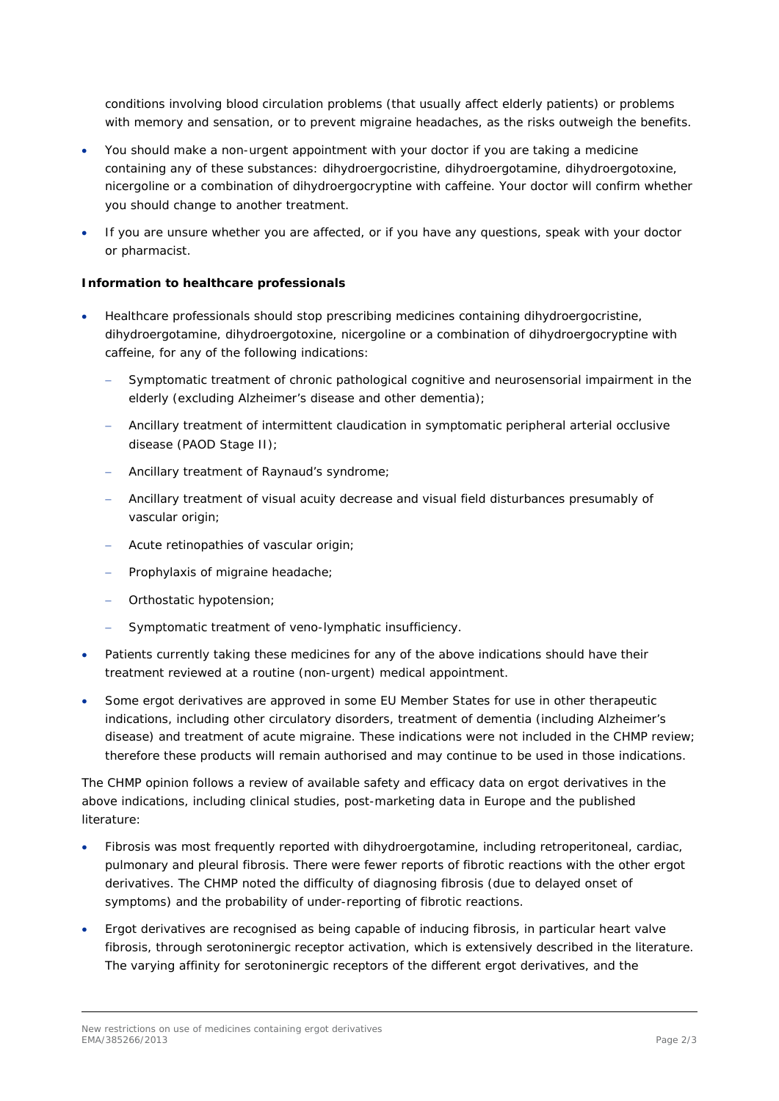conditions involving blood circulation problems (that usually affect elderly patients) or problems with memory and sensation, or to prevent migraine headaches, as the risks outweigh the benefits.

- You should make a non-urgent appointment with your doctor if you are taking a medicine containing any of these substances: dihydroergocristine, dihydroergotamine, dihydroergotoxine, nicergoline or a combination of dihydroergocryptine with caffeine. Your doctor will confirm whether you should change to another treatment.
- If you are unsure whether you are affected, or if you have any questions, speak with your doctor or pharmacist.

### **Information to healthcare professionals**

- Healthcare professionals should stop prescribing medicines containing dihydroergocristine, dihydroergotamine, dihydroergotoxine, nicergoline or a combination of dihydroergocryptine with caffeine, for any of the following indications:
	- Symptomatic treatment of chronic pathological cognitive and neurosensorial impairment in the elderly (excluding Alzheimer's disease and other dementia);
	- − Ancillary treatment of intermittent claudication in symptomatic peripheral arterial occlusive disease (PAOD Stage II);
	- − Ancillary treatment of Raynaud's syndrome;
	- − Ancillary treatment of visual acuity decrease and visual field disturbances presumably of vascular origin;
	- − Acute retinopathies of vascular origin;
	- Prophylaxis of migraine headache;
	- Orthostatic hypotension;
	- Symptomatic treatment of veno-lymphatic insufficiency.
- Patients currently taking these medicines for any of the above indications should have their treatment reviewed at a routine (non-urgent) medical appointment.
- Some ergot derivatives are approved in some EU Member States for use in other therapeutic indications, including other circulatory disorders, treatment of dementia (including Alzheimer's disease) and treatment of acute migraine. These indications were not included in the CHMP review; therefore these products will remain authorised and may continue to be used in those indications.

The CHMP opinion follows a review of available safety and efficacy data on ergot derivatives in the above indications, including clinical studies, post-marketing data in Europe and the published literature:

- Fibrosis was most frequently reported with dihydroergotamine, including retroperitoneal, cardiac, pulmonary and pleural fibrosis. There were fewer reports of fibrotic reactions with the other ergot derivatives. The CHMP noted the difficulty of diagnosing fibrosis (due to delayed onset of symptoms) and the probability of under-reporting of fibrotic reactions.
- Ergot derivatives are recognised as being capable of inducing fibrosis, in particular heart valve fibrosis, through serotoninergic receptor activation, which is extensively described in the literature. The varying affinity for serotoninergic receptors of the different ergot derivatives, and the